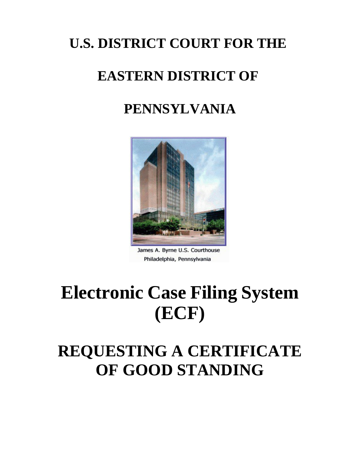## **U.S. DISTRICT COURT FOR THE**

## **EASTERN DISTRICT OF**

## **PENNSYLVANIA**



James A. Byrne U.S. Courthouse Philadelphia, Pennsylvania

# **Electronic Case Filing System (ECF)**

## **REQUESTING A CERTIFICATE OF GOOD STANDING**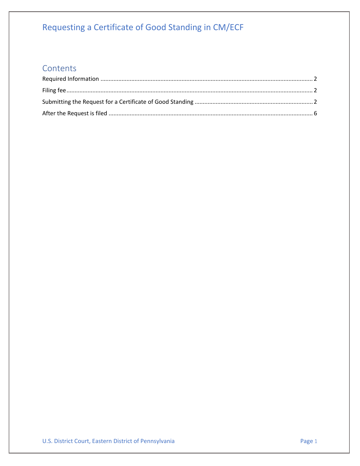#### Requesting a Certificate of Good Standing in CM/ECF

#### Contents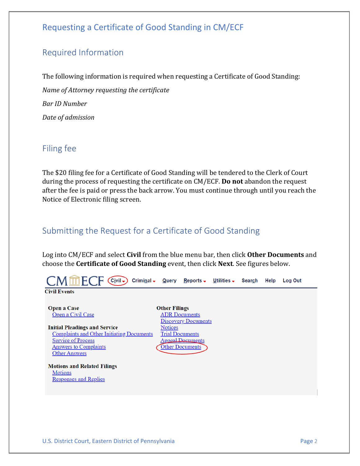#### Requesting a Certificate of Good Standing in CM/ECF

#### <span id="page-2-0"></span>Required Information

The following information is required when requesting a Certificate of Good Standing: *Name of Attorney requesting the certificate Bar ID Number Date of admission*

#### <span id="page-2-1"></span>Filing fee

The \$20 filing fee for a Certificate of Good Standing will be tendered to the Clerk of Court during the process of requesting the certificate on CM/ECF. **Do not** abandon the request after the fee is paid or press the back arrow. You must continue through until you reach the Notice of Electronic filing screen.

#### <span id="page-2-2"></span>Submitting the Request for a Certificate of Good Standing

Log into CM/ECF and select **Civil** from the blue menu bar, then click **Other Documents** and choose the **Certificate of Good Standing** event, then click **Next**. See figures below.

 $\mathsf{M}\,\overline{\mathsf{m}}\,\mathsf{F}$ (  $\overline{(C_i}$ vil  $\overline{\phantom{a}})$  Criminal  $\overline{\phantom{a}}$ <u>Q</u>uery <u>Reports - U</u>tilities -Search Help **Log Out Civil Events Open a Case Other Filings** Open a Civil Case **ADR** Documents **Discovery Documents Initial Pleadings and Service Notices Complaints and Other Initiating Documents Trial Documents Service of Process Appeal Documents Answers to Complaints Other Documents Other Answers Motions and Related Filings Motions Responses and Replies**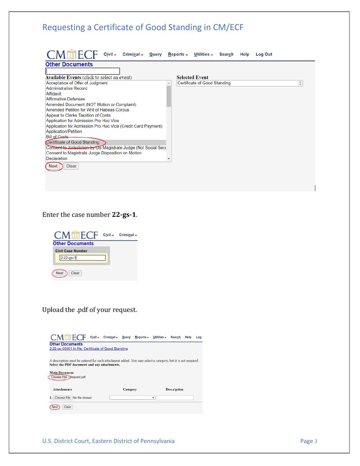| Requesting a Certificate of Good Standing in CM/ECF<br>CMmECF<br>$C$ ivil $\div$<br>Criminal $\sim$<br>Query | Reports $\overline{\phantom{a}}$<br>Utilities - Search Help<br><b>Log Out</b>                   |
|--------------------------------------------------------------------------------------------------------------|-------------------------------------------------------------------------------------------------|
| <b>Other Documents</b>                                                                                       |                                                                                                 |
|                                                                                                              |                                                                                                 |
| <b>Available Events (click to select an event)</b>                                                           | <b>Selected Event</b>                                                                           |
| Acceptance of Offer of Judgment                                                                              | $\stackrel{\scriptscriptstyle \Delta}{\scriptscriptstyle \vee}$<br>Certificate of Good Standing |
| <b>Administrative Record</b>                                                                                 |                                                                                                 |
| Affidavit                                                                                                    |                                                                                                 |
| <b>Affirmative Defenses</b>                                                                                  |                                                                                                 |
| Amended Document (NOT Motion or Complaint)                                                                   |                                                                                                 |
| Amended Petition for Writ of Habeas Corpus                                                                   |                                                                                                 |
| Appeal to Clerks Taxation of Costs<br>Application for Admission Pro Hac Vice                                 |                                                                                                 |
| Application for Admission Pro Hac Vice (Credit Card Payment)                                                 |                                                                                                 |
| <b>Application/Petition</b>                                                                                  |                                                                                                 |
| <b>Bill of Costs-</b>                                                                                        |                                                                                                 |
| Certificate of Good Standing                                                                                 |                                                                                                 |
| Consent to Jurisdiction by US Magistrate Judge (Not Social Secu                                              |                                                                                                 |
| Consent to Magistrate Judge Disposition on Motion                                                            |                                                                                                 |
| <b>Declaration</b>                                                                                           |                                                                                                 |
| Clear<br>Next                                                                                                |                                                                                                 |
|                                                                                                              |                                                                                                 |
|                                                                                                              |                                                                                                 |
|                                                                                                              |                                                                                                 |

Enter the case number **22-gs-1**.



#### Upload the .pdf of your request.

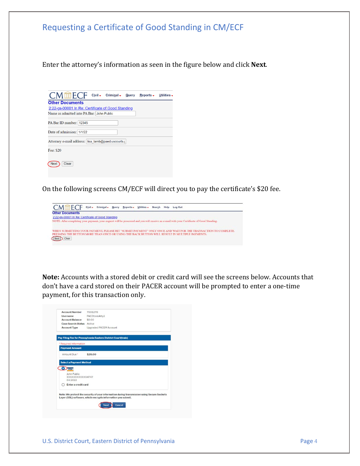

**Note:** Accounts with a stored debit or credit card will see the screens below. Accounts that don't have a card stored on their PACER account will be prompted to enter a one-time payment, for this transaction only.

| <b>Account Number</b>                      | 7008270                                                                                                                                                    |
|--------------------------------------------|------------------------------------------------------------------------------------------------------------------------------------------------------------|
| <b>Username</b><br>- 18                    | <b>PAEDtrainAttv1</b>                                                                                                                                      |
| Account Balance \$0.00                     |                                                                                                                                                            |
| <b>Case Search Status</b> Active           |                                                                                                                                                            |
| <b>Account Type</b>                        | <b>Upgraded PACER Account</b>                                                                                                                              |
|                                            | Pay Filing Fee for Pennsylvania Eastern District Court(train)                                                                                              |
| * Required Information                     |                                                                                                                                                            |
| <b>Payment Amount</b>                      |                                                                                                                                                            |
| Amount Due *                               | \$20.00                                                                                                                                                    |
| <b>Select a Payment Method</b><br>ग्राज    |                                                                                                                                                            |
|                                            |                                                                                                                                                            |
| John Public<br>XXXXXXXXXXXX4747<br>04/2022 |                                                                                                                                                            |
| Enter a credit card                        |                                                                                                                                                            |
|                                            | Note: We protect the security of your information during transmission using Secure Sockets<br>Layer (SSL) software, which encrypts information you submit. |
|                                            | Cancel<br><b>Next</b>                                                                                                                                      |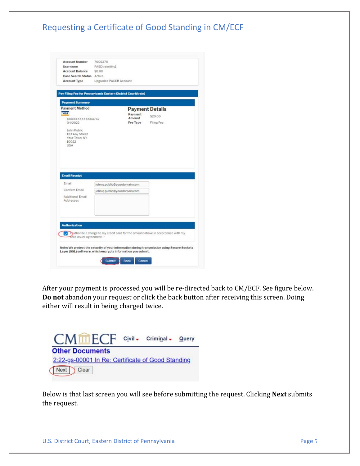#### Requesting a Certificate of Good Standing in CM/ECF

|                                                                | 7008270<br>PAEDtrainAtty1    |                    |                                                                                            |  |
|----------------------------------------------------------------|------------------------------|--------------------|--------------------------------------------------------------------------------------------|--|
| Username<br><b>Account Balance</b>                             | \$0.00                       |                    |                                                                                            |  |
| Case Search Status Active                                      |                              |                    |                                                                                            |  |
| <b>Account Type</b>                                            | Upgraded PACER Account       |                    |                                                                                            |  |
| Pay Filing Fee for Pennsylvania Eastern District Court(train)  |                              |                    |                                                                                            |  |
| <b>Payment Summary</b>                                         |                              |                    |                                                                                            |  |
| <b>Payment Method</b>                                          |                              |                    | <b>Payment Details</b>                                                                     |  |
| <b>VISA</b>                                                    |                              | Payment            | \$20.00                                                                                    |  |
| XXXXXXXXXXXX4747<br>04/2022                                    |                              | Amount<br>Fee Type | Filing Fee                                                                                 |  |
| John Public<br>123 Any Street<br>Your Town, NY<br>10022<br>USA |                              |                    |                                                                                            |  |
|                                                                |                              |                    |                                                                                            |  |
| <b>Email Receipt</b>                                           |                              |                    |                                                                                            |  |
| Email                                                          | john.g.public@yourdomain.com |                    |                                                                                            |  |
| Confirm Email<br>Additional Email<br>Addresses                 | john.g.public@yourdomain.com |                    |                                                                                            |  |
| <b>Authorization</b>                                           |                              |                    |                                                                                            |  |
| card issuer agreement. *                                       |                              |                    | authorize a charge to my credit card for the amount above in accordance with my            |  |
| Layer (SSL) software, which encrypts information you submit.   |                              |                    | Note: We protect the security of your information during transmission using Secure Sockets |  |

After your payment is processed you will be re-directed back to CM/ECF. See figure below. **Do not** abandon your request or click the back button after receiving this screen. Doing either will result in being charged twice.

Civil - Criminal - Query TTI H ( **Other Documents** 2:22-gs-00001 In Re: Certificate of Good Standing Next Clear

Below is that last screen you will see before submitting the request. Clicking **Next** submits the request.